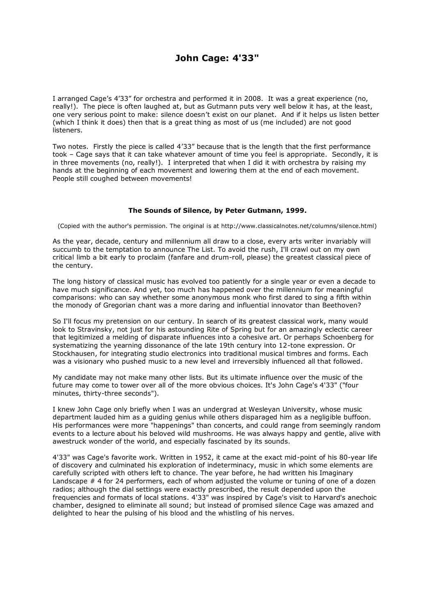## **John Cage: 4'33"**

I arranged Cage's 4'33" for orchestra and performed it in 2008. It was a great experience (no, really!). The piece is often laughed at, but as Gutmann puts very well below it has, at the least, one very serious point to make: silence doesn't exist on our planet. And if it helps us listen better (which I think it does) then that is a great thing as most of us (me included) are not good listeners.

Two notes. Firstly the piece is called 4'33" because that is the length that the first performance took – Cage says that it can take whatever amount of time you feel is appropriate. Secondly, it is in three movements (no, really!). I interpreted that when I did it with orchestra by raising my hands at the beginning of each movement and lowering them at the end of each movement. People still coughed between movements!

## **The Sounds of Silence, by Peter Gutmann, 1999.**

(Copied with the author's permission. The original is at http://www.classicalnotes.net/columns/silence.html)

As the year, decade, century and millennium all draw to a close, every arts writer invariably will succumb to the temptation to announce The List. To avoid the rush, I'll crawl out on my own critical limb a bit early to proclaim (fanfare and drum-roll, please) the greatest classical piece of the century.

The long history of classical music has evolved too patiently for a single year or even a decade to have much significance. And yet, too much has happened over the millennium for meaningful comparisons: who can say whether some anonymous monk who first dared to sing a fifth within the monody of Gregorian chant was a more daring and influential innovator than Beethoven?

So I'll focus my pretension on our century. In search of its greatest classical work, many would look to Stravinsky, not just for his astounding Rite of Spring but for an amazingly eclectic career that legitimized a melding of disparate influences into a cohesive art. Or perhaps Schoenberg for systematizing the yearning dissonance of the late 19th century into 12-tone expression. Or Stockhausen, for integrating studio electronics into traditional musical timbres and forms. Each was a visionary who pushed music to a new level and irreversibly influenced all that followed.

My candidate may not make many other lists. But its ultimate influence over the music of the future may come to tower over all of the more obvious choices. It's John Cage's 4'33" ("four minutes, thirty-three seconds").

I knew John Cage only briefly when I was an undergrad at Wesleyan University, whose music department lauded him as a guiding genius while others disparaged him as a negligible buffoon. His performances were more "happenings" than concerts, and could range from seemingly random events to a lecture about his beloved wild mushrooms. He was always happy and gentle, alive with awestruck wonder of the world, and especially fascinated by its sounds.

4'33" was Cage's favorite work. Written in 1952, it came at the exact mid-point of his 80-year life of discovery and culminated his exploration of indeterminacy, music in which some elements are carefully scripted with others left to chance. The year before, he had written his Imaginary Landscape # 4 for 24 performers, each of whom adjusted the volume or tuning of one of a dozen radios; although the dial settings were exactly prescribed, the result depended upon the frequencies and formats of local stations. 4'33" was inspired by Cage's visit to Harvard's anechoic chamber, designed to eliminate all sound; but instead of promised silence Cage was amazed and delighted to hear the pulsing of his blood and the whistling of his nerves.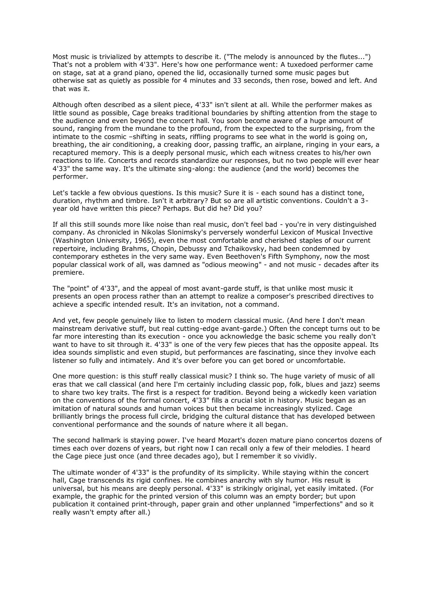Most music is trivialized by attempts to describe it. ("The melody is announced by the flutes...") That's not a problem with 4'33". Here's how one performance went: A tuxedoed performer came on stage, sat at a grand piano, opened the lid, occasionally turned some music pages but otherwise sat as quietly as possible for 4 minutes and 33 seconds, then rose, bowed and left. And that was it.

Although often described as a silent piece, 4'33" isn't silent at all. While the performer makes as little sound as possible, Cage breaks traditional boundaries by shifting attention from the stage to the audience and even beyond the concert hall. You soon become aware of a huge amount of sound, ranging from the mundane to the profound, from the expected to the surprising, from the intimate to the cosmic –shifting in seats, riffling programs to see what in the world is going on, breathing, the air conditioning, a creaking door, passing traffic, an airplane, ringing in your ears, a recaptured memory. This is a deeply personal music, which each witness creates to his/her own reactions to life. Concerts and records standardize our responses, but no two people will ever hear 4'33" the same way. It's the ultimate sing-along: the audience (and the world) becomes the performer.

Let's tackle a few obvious questions. Is this music? Sure it is - each sound has a distinct tone, duration, rhythm and timbre. Isn't it arbitrary? But so are all artistic conventions. Couldn't a 3 year old have written this piece? Perhaps. But did he? Did you?

If all this still sounds more like noise than real music, don't feel bad - you're in very distinguished company. As chronicled in Nikolas Slonimsky's perversely wonderful Lexicon of Musical Invective (Washington University, 1965), even the most comfortable and cherished staples of our current repertoire, including Brahms, Chopin, Debussy and Tchaikovsky, had been condemned by contemporary esthetes in the very same way. Even Beethoven's Fifth Symphony, now the most popular classical work of all, was damned as "odious meowing" - and not music - decades after its premiere.

The "point" of 4'33", and the appeal of most avant-garde stuff, is that unlike most music it presents an open process rather than an attempt to realize a composer's prescribed directives to achieve a specific intended result. It's an invitation, not a command.

And yet, few people genuinely like to listen to modern classical music. (And here I don't mean mainstream derivative stuff, but real cutting-edge avant-garde.) Often the concept turns out to be far more interesting than its execution - once you acknowledge the basic scheme you really don't want to have to sit through it. 4'33" is one of the very few pieces that has the opposite appeal. Its idea sounds simplistic and even stupid, but performances are fascinating, since they involve each listener so fully and intimately. And it's over before you can get bored or uncomfortable.

One more question: is this stuff really classical music? I think so. The huge variety of music of all eras that we call classical (and here I'm certainly including classic pop, folk, blues and jazz) seems to share two key traits. The first is a respect for tradition. Beyond being a wickedly keen variation on the conventions of the formal concert, 4'33" fills a crucial slot in history. Music began as an imitation of natural sounds and human voices but then became increasingly stylized. Cage brilliantly brings the process full circle, bridging the cultural distance that has developed between conventional performance and the sounds of nature where it all began.

The second hallmark is staying power. I've heard Mozart's dozen mature piano concertos dozens of times each over dozens of years, but right now I can recall only a few of their melodies. I heard the Cage piece just once (and three decades ago), but I remember it so vividly.

The ultimate wonder of 4'33" is the profundity of its simplicity. While staying within the concert hall, Cage transcends its rigid confines. He combines anarchy with sly humor. His result is universal, but his means are deeply personal. 4'33" is strikingly original, yet easily imitated. (For example, the graphic for the printed version of this column was an empty border; but upon publication it contained print-through, paper grain and other unplanned "imperfections" and so it really wasn't empty after all.)